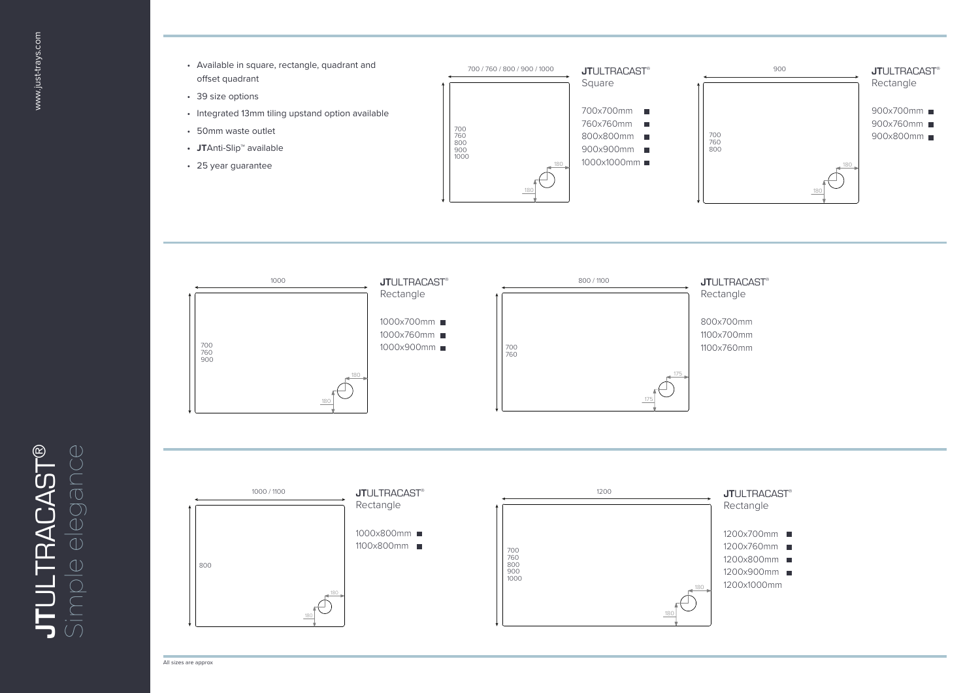**JT**ULTRACAST ® Simple elegance







All sizes are approx